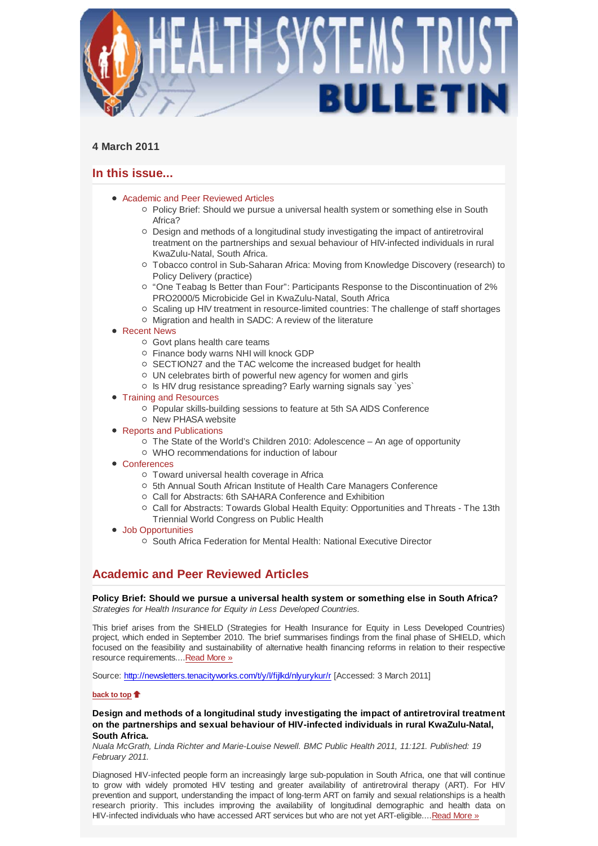

# **4 March 2011**

# **In this issue...**

- Academic and Peer Reviewed Articles
	- o Policy Brief: Should we pursue a universal health system or something else in South Africa?
	- $\circ$  Design and methods of a longitudinal study investigating the impact of antiretroviral treatment on the partnerships and sexual behaviour of HIV-infected individuals in rural KwaZulu-Natal, South Africa.
	- Tobacco control in Sub-Saharan Africa: Moving from Knowledge Discovery (research) to Policy Delivery (practice)
	- o "One Teabag Is Better than Four": Participants Response to the Discontinuation of 2% PRO2000/5 Microbicide Gel in KwaZulu-Natal, South Africa
	- $\circ$  Scaling up HIV treatment in resource-limited countries: The challenge of staff shortages
	- o Migration and health in SADC: A review of the literature
- Recent News
	- Govt plans health care teams
	- Finance body warns NHI will knock GDP
	- $\circ$  SECTION27 and the TAC welcome the increased budget for health
	- UN celebrates birth of powerful new agency for women and girls
	- Is HIV drug resistance spreading? Early warning signals say `yes`
- Training and Resources
	- Popular skills-building sessions to feature at 5th SA AIDS Conference
	- $\circ$  New PHASA website
- Reports and Publications
	- $\circ$  The State of the World's Children 2010: Adolescence An age of opportunity
	- WHO recommendations for induction of labour
- Conferences
	- o Toward universal health coverage in Africa
	- 5th Annual South African Institute of Health Care Managers Conference
	- Call for Abstracts: 6th SAHARA Conference and Exhibition
	- $\circ$  Call for Abstracts: Towards Global Health Equity: Opportunities and Threats The 13th Triennial World Congress on Public Health
- Job Opportunities
	- South Africa Federation for Mental Health: National Executive Director

# **Academic and Peer Reviewed Articles**

**Policy Brief: Should we pursue a universal health system or something else in South Africa?** *Strategies for Health Insurance for Equity in Less Developed Countries.*

This brief arises from the SHIELD (Strategies for Health Insurance for Equity in Less Developed Countries) project, which ended in September 2010. The brief summarises findings from the final phase of SHIELD, which focused on the feasibility and sustainability of alternative health financing reforms in relation to their respective resource requirements....Read More »

Source: http://newsletters.tenacityworks.com/t/y/l/fijlkd/nlyurykur/r [Accessed: 3 March 2011]

## **back to top**

## **Design and methods of a longitudinal study investigating the impact of antiretroviral treatment on the partnerships and sexual behaviour of HIV-infected individuals in rural KwaZulu-Natal, South Africa.**

*Nuala McGrath, Linda Richter and Marie-Louise Newell. BMC Public Health 2011, 11:121. Published: 19 February 2011.*

Diagnosed HIV-infected people form an increasingly large sub-population in South Africa, one that will continue to grow with widely promoted HIV testing and greater availability of antiretroviral therapy (ART). For HIV prevention and support, understanding the impact of long-term ART on family and sexual relationships is a health research priority. This includes improving the availability of longitudinal demographic and health data on HIV-infected individuals who have accessed ART services but who are not yet ART-eligible....Read More »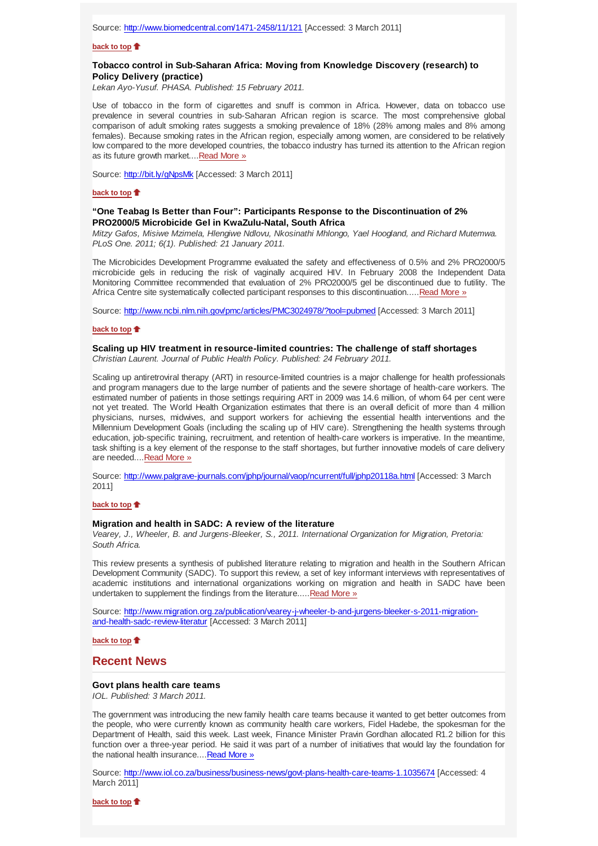#### **back to top**

## **Tobacco control in Sub-Saharan Africa: Moving from Knowledge Discovery (research) to Policy Delivery (practice)**

*Lekan Ayo-Yusuf. PHASA. Published: 15 February 2011.*

Use of tobacco in the form of cigarettes and snuff is common in Africa. However, data on tobacco use prevalence in several countries in sub-Saharan African region is scarce. The most comprehensive global comparison of adult smoking rates suggests a smoking prevalence of 18% (28% among males and 8% among females). Because smoking rates in the African region, especially among women, are considered to be relatively low compared to the more developed countries, the tobacco industry has turned its attention to the African region as its future growth market....Read More »

Source: http://bit.ly/gNpsMk [Accessed: 3 March 2011]

#### **back to top**

## **"One Teabag Is Better than Four": Participants Response to the Discontinuation of 2% PRO2000/5 Microbicide Gel in KwaZulu-Natal, South Africa**

*Mitzy Gafos, Misiwe Mzimela, Hlengiwe Ndlovu, Nkosinathi Mhlongo, Yael Hoogland, and Richard Mutemwa. PLoS One. 2011; 6(1). Published: 21 January 2011.*

The Microbicides Development Programme evaluated the safety and effectiveness of 0.5% and 2% PRO2000/5 microbicide gels in reducing the risk of vaginally acquired HIV. In February 2008 the Independent Data Monitoring Committee recommended that evaluation of 2% PRO2000/5 gel be discontinued due to futility. The Africa Centre site systematically collected participant responses to this discontinuation.....Read More »

Source: http://www.ncbi.nlm.nih.gov/pmc/articles/PMC3024978/?tool=pubmed [Accessed: 3 March 2011]

#### **back to top**

#### **Scaling up HIV treatment in resource-limited countries: The challenge of staff shortages**

*Christian Laurent. Journal of Public Health Policy. Published: 24 February 2011.*

Scaling up antiretroviral therapy (ART) in resource-limited countries is a major challenge for health professionals and program managers due to the large number of patients and the severe shortage of health-care workers. The estimated number of patients in those settings requiring ART in 2009 was 14.6 million, of whom 64 per cent were not yet treated. The World Health Organization estimates that there is an overall deficit of more than 4 million physicians, nurses, midwives, and support workers for achieving the essential health interventions and the Millennium Development Goals (including the scaling up of HIV care). Strengthening the health systems through education, job-specific training, recruitment, and retention of health-care workers is imperative. In the meantime, task shifting is a key element of the response to the staff shortages, but further innovative models of care delivery are needed.... Read More »

Source: http://www.palgrave-journals.com/jphp/journal/vaop/ncurrent/full/jphp20118a.html [Accessed: 3 March 2011]

#### **back to top**

#### **Migration and health in SADC: A review of the literature**

*Vearey, J., Wheeler, B. and Jurgens-Bleeker, S., 2011. International Organization for Migration, Pretoria: South Africa.*

This review presents a synthesis of published literature relating to migration and health in the Southern African Development Community (SADC). To support this review, a set of key informant interviews with representatives of academic institutions and international organizations working on migration and health in SADC have been undertaken to supplement the findings from the literature..... Read More »

Source: http://www.migration.org.za/publication/vearey-j-wheeler-b-and-jurgens-bleeker-s-2011-migrationand-health-sadc-review-literatur [Accessed: 3 March 2011]

**back to top**

## **Recent News**

#### **Govt plans health care teams**

*IOL. Published: 3 March 2011.*

The government was introducing the new family health care teams because it wanted to get better outcomes from the people, who were currently known as community health care workers, Fidel Hadebe, the spokesman for the Department of Health, said this week. Last week, Finance Minister Pravin Gordhan allocated R1.2 billion for this function over a three-year period. He said it was part of a number of initiatives that would lay the foundation for the national health insurance....Read More »

Source: http://www.iol.co.za/business/business-news/govt-plans-health-care-teams-1.1035674 [Accessed: 4 March 2011]

**back to top**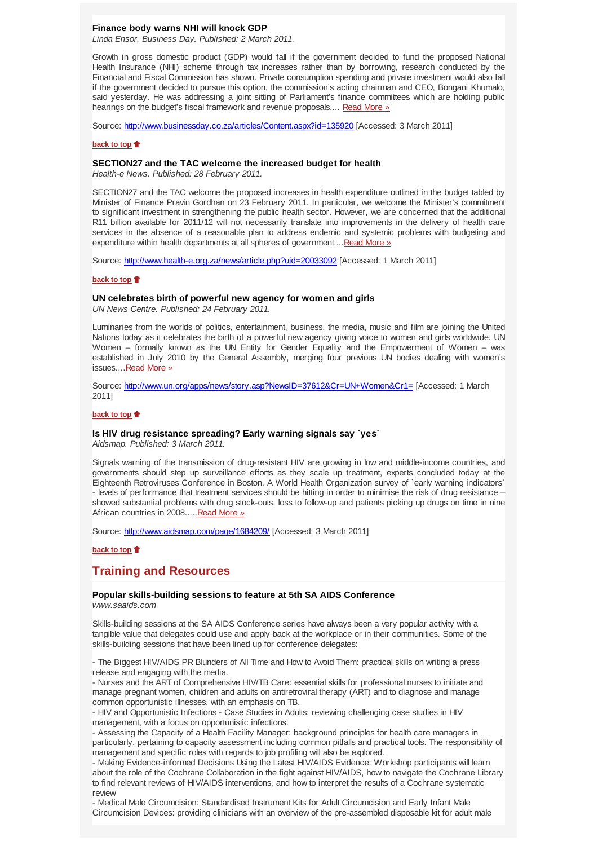## **Finance body warns NHI will knock GDP**

*Linda Ensor. Business Day. Published: 2 March 2011.*

Growth in gross domestic product (GDP) would fall if the government decided to fund the proposed National Health Insurance (NHI) scheme through tax increases rather than by borrowing, research conducted by the Financial and Fiscal Commission has shown. Private consumption spending and private investment would also fall if the government decided to pursue this option, the commission's acting chairman and CEO, Bongani Khumalo, said yesterday. He was addressing a joint sitting of Parliament's finance committees which are holding public hearings on the budget's fiscal framework and revenue proposals.... Read More »

Source: http://www.businessday.co.za/articles/Content.aspx?id=135920 [Accessed: 3 March 2011]

### **back to top**

## **SECTION27 and the TAC welcome the increased budget for health**

*Health-e News. Published: 28 February 2011.*

SECTION27 and the TAC welcome the proposed increases in health expenditure outlined in the budget tabled by Minister of Finance Pravin Gordhan on 23 February 2011. In particular, we welcome the Minister's commitment to significant investment in strengthening the public health sector. However, we are concerned that the additional R11 billion available for 2011/12 will not necessarily translate into improvements in the delivery of health care services in the absence of a reasonable plan to address endemic and systemic problems with budgeting and expenditure within health departments at all spheres of government....Read More »

Source: http://www.health-e.org.za/news/article.php?uid=20033092 [Accessed: 1 March 2011]

## **back to top**

#### **UN celebrates birth of powerful new agency for women and girls**

*UN News Centre. Published: 24 February 2011.*

Luminaries from the worlds of politics, entertainment, business, the media, music and film are joining the United Nations today as it celebrates the birth of a powerful new agency giving voice to women and girls worldwide. UN Women – formally known as the UN Entity for Gender Equality and the Empowerment of Women – was established in July 2010 by the General Assembly, merging four previous UN bodies dealing with women's issues....Read More »

Source: http://www.un.org/apps/news/story.asp?NewsID=37612&Cr=UN+Women&Cr1= [Accessed: 1 March 2011]

## **back to top**

## **Is HIV drug resistance spreading? Early warning signals say `yes`**

*Aidsmap. Published: 3 March 2011.*

Signals warning of the transmission of drug-resistant HIV are growing in low and middle-income countries, and governments should step up surveillance efforts as they scale up treatment, experts concluded today at the Eighteenth Retroviruses Conference in Boston. A World Health Organization survey of `early warning indicators` - levels of performance that treatment services should be hitting in order to minimise the risk of drug resistance – showed substantial problems with drug stock-outs, loss to follow-up and patients picking up drugs on time in nine African countries in 2008.....Read More »

Source: http://www.aidsmap.com/page/1684209/ [Accessed: 3 March 2011]

## **back to top**

## **Training and Resources**

#### **Popular skills-building sessions to feature at 5th SA AIDS Conference** *www.saaids.com*

Skills-building sessions at the SA AIDS Conference series have always been a very popular activity with a tangible value that delegates could use and apply back at the workplace or in their communities. Some of the skills-building sessions that have been lined up for conference delegates:

- The Biggest HIV/AIDS PR Blunders of All Time and How to Avoid Them: practical skills on writing a press release and engaging with the media.

- Nurses and the ART of Comprehensive HIV/TB Care: essential skills for professional nurses to initiate and manage pregnant women, children and adults on antiretroviral therapy (ART) and to diagnose and manage common opportunistic illnesses, with an emphasis on TB.

- HIV and Opportunistic Infections - Case Studies in Adults: reviewing challenging case studies in HIV management, with a focus on opportunistic infections.

- Assessing the Capacity of a Health Facility Manager: background principles for health care managers in particularly, pertaining to capacity assessment including common pitfalls and practical tools. The responsibility of management and specific roles with regards to job profiling will also be explored.

- Making Evidence-informed Decisions Using the Latest HIV/AIDS Evidence: Workshop participants will learn about the role of the Cochrane Collaboration in the fight against HIV/AIDS, how to navigate the Cochrane Library to find relevant reviews of HIV/AIDS interventions, and how to interpret the results of a Cochrane systematic review

- Medical Male Circumcision: Standardised Instrument Kits for Adult Circumcision and Early Infant Male Circumcision Devices: providing clinicians with an overview of the pre-assembled disposable kit for adult male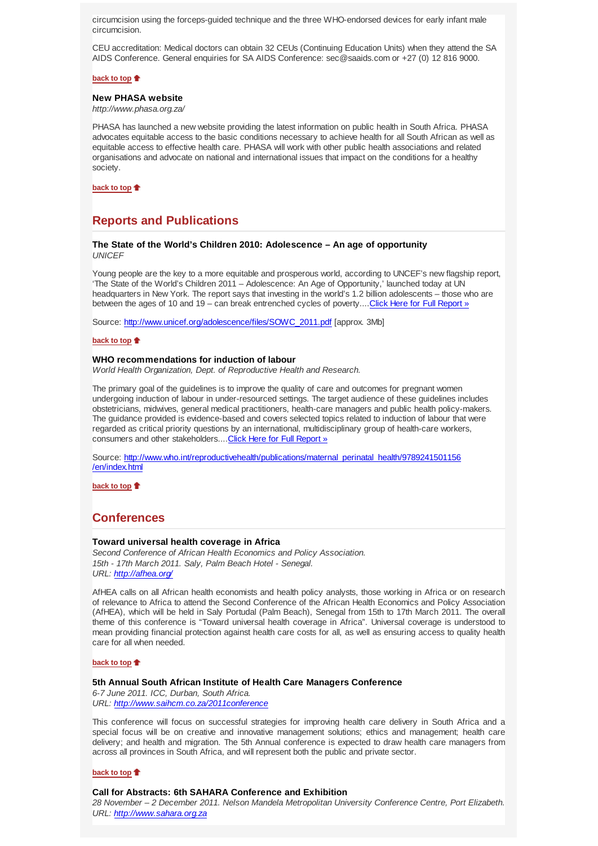circumcision using the forceps-guided technique and the three WHO-endorsed devices for early infant male circumcision.

CEU accreditation: Medical doctors can obtain 32 CEUs (Continuing Education Units) when they attend the SA AIDS Conference. General enquiries for SA AIDS Conference: sec@saaids.com or +27 (0) 12 816 9000.

#### **back to top**

#### **New PHASA website**

*http://www.phasa.org.za/*

PHASA has launched a new website providing the latest information on public health in South Africa. PHASA advocates equitable access to the basic conditions necessary to achieve health for all South African as well as equitable access to effective health care. PHASA will work with other public health associations and related organisations and advocate on national and international issues that impact on the conditions for a healthy society.

**back to top**

# **Reports and Publications**

### **The State of the World's Children 2010: Adolescence – An age of opportunity** *UNICEF*

Young people are the key to a more equitable and prosperous world, according to UNCEF's new flagship report, 'The State of the World's Children 2011 – Adolescence: An Age of Opportunity,' launched today at UN headquarters in New York. The report says that investing in the world's 1.2 billion adolescents – those who are between the ages of 10 and 19 – can break entrenched cycles of poverty....Click Here for Full Report »

Source: http://www.unicef.org/adolescence/files/SOWC\_2011.pdf [approx. 3Mb]

#### **back to top**

### **WHO recommendations for induction of labour**

*World Health Organization, Dept. of Reproductive Health and Research.*

The primary goal of the guidelines is to improve the quality of care and outcomes for pregnant women undergoing induction of labour in under-resourced settings. The target audience of these guidelines includes obstetricians, midwives, general medical practitioners, health-care managers and public health policy-makers. The guidance provided is evidence-based and covers selected topics related to induction of labour that were regarded as critical priority questions by an international, multidisciplinary group of health-care workers, consumers and other stakeholders.... Click Here for Full Report »

Source: http://www.who.int/reproductivehealth/publications/maternal\_perinatal\_health/9789241501156 /en/index.html

**back to top**

## **Conferences**

#### **Toward universal health coverage in Africa**

*Second Conference of African Health Economics and Policy Association. 15th - 17th March 2011. Saly, Palm Beach Hotel - Senegal. URL: http://afhea.org/*

AfHEA calls on all African health economists and health policy analysts, those working in Africa or on research of relevance to Africa to attend the Second Conference of the African Health Economics and Policy Association (AfHEA), which will be held in Saly Portudal (Palm Beach), Senegal from 15th to 17th March 2011. The overall theme of this conference is "Toward universal health coverage in Africa". Universal coverage is understood to mean providing financial protection against health care costs for all, as well as ensuring access to quality health care for all when needed.

### **back to top**

## **5th Annual South African Institute of Health Care Managers Conference**

*6-7 June 2011. ICC, Durban, South Africa. URL: http://www.saihcm.co.za/2011conference*

This conference will focus on successful strategies for improving health care delivery in South Africa and a special focus will be on creative and innovative management solutions; ethics and management; health care delivery; and health and migration. The 5th Annual conference is expected to draw health care managers from across all provinces in South Africa, and will represent both the public and private sector.

**back to top**

#### **Call for Abstracts: 6th SAHARA Conference and Exhibition**

*28 November – 2 December 2011. Nelson Mandela Metropolitan University Conference Centre, Port Elizabeth. URL: http://www.sahara.org.za*